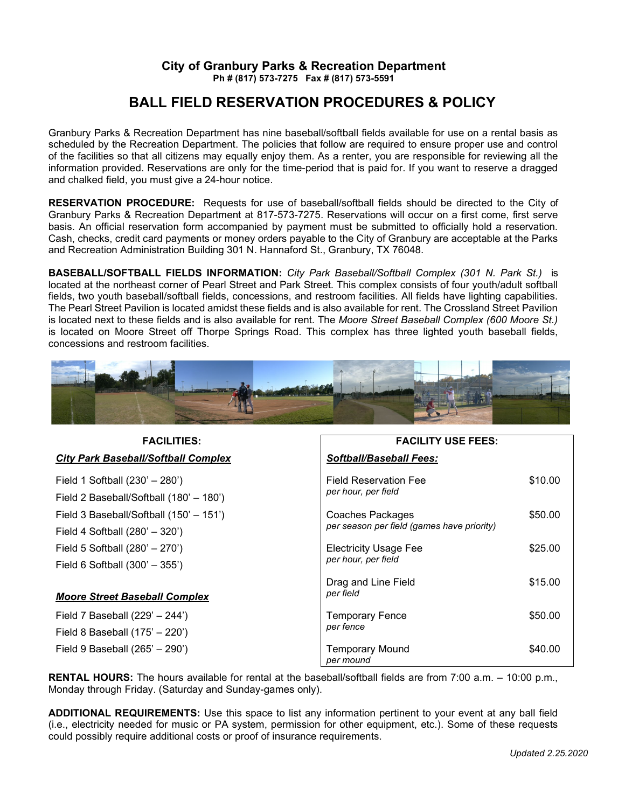## **City of Granbury Parks & Recreation Department Ph # (817) 573-7275 Fax # (817) 573-5591**

# **BALL FIELD RESERVATION PROCEDURES & POLICY**

Granbury Parks & Recreation Department has nine baseball/softball fields available for use on a rental basis as scheduled by the Recreation Department. The policies that follow are required to ensure proper use and control of the facilities so that all citizens may equally enjoy them. As a renter, you are responsible for reviewing all the information provided. Reservations are only for the time-period that is paid for. If you want to reserve a dragged and chalked field, you must give a 24-hour notice.

**RESERVATION PROCEDURE:** Requests for use of baseball/softball fields should be directed to the City of Granbury Parks & Recreation Department at 817-573-7275. Reservations will occur on a first come, first serve basis. An official reservation form accompanied by payment must be submitted to officially hold a reservation. Cash, checks, credit card payments or money orders payable to the City of Granbury are acceptable at the Parks and Recreation Administration Building 301 N. Hannaford St., Granbury, TX 76048.

**BASEBALL/SOFTBALL FIELDS INFORMATION:** *City Park Baseball/Softball Complex (301 N. Park St.)* is located at the northeast corner of Pearl Street and Park Street. This complex consists of four youth/adult softball fields, two youth baseball/softball fields, concessions, and restroom facilities. All fields have lighting capabilities. The Pearl Street Pavilion is located amidst these fields and is also available for rent. The Crossland Street Pavilion is located next to these fields and is also available for rent. The *Moore Street Baseball Complex (600 Moore St.)*  is located on Moore Street off Thorpe Springs Road. This complex has three lighted youth baseball fields, concessions and restroom facilities.



| <b>FACILITIES:</b>                                                          | <b>FACILITY USE FEES:</b>                                      |         |  |  |
|-----------------------------------------------------------------------------|----------------------------------------------------------------|---------|--|--|
| City Park Baseball/Softball Complex                                         | <b>Softball/Baseball Fees:</b>                                 |         |  |  |
| Field 1 Softball (230' - 280')<br>Field 2 Baseball/Softball (180' - 180')   | <b>Field Reservation Fee</b><br>per hour, per field            | \$10.00 |  |  |
| Field 3 Baseball/Softball (150' - 151')<br>Field 4 Softball $(280' - 320')$ | Coaches Packages<br>per season per field (games have priority) | \$50.00 |  |  |
| Field 5 Softball (280' - 270')<br>Field 6 Softball (300' - 355')            | <b>Electricity Usage Fee</b><br>per hour, per field            | \$25.00 |  |  |
| <b>Moore Street Baseball Complex</b>                                        | Drag and Line Field<br>per field                               | \$15.00 |  |  |
| Field 7 Baseball (229' - 244')<br>Field 8 Baseball (175' - 220')            | <b>Temporary Fence</b><br>per fence                            | \$50.00 |  |  |
| Field 9 Baseball (265' - 290')                                              | <b>Temporary Mound</b><br>per mound                            | \$40.00 |  |  |

**RENTAL HOURS:** The hours available for rental at the baseball/softball fields are from 7:00 a.m. – 10:00 p.m., Monday through Friday. (Saturday and Sunday-games only).

**ADDITIONAL REQUIREMENTS:** Use this space to list any information pertinent to your event at any ball field (i.e., electricity needed for music or PA system, permission for other equipment, etc.). Some of these requests could possibly require additional costs or proof of insurance requirements.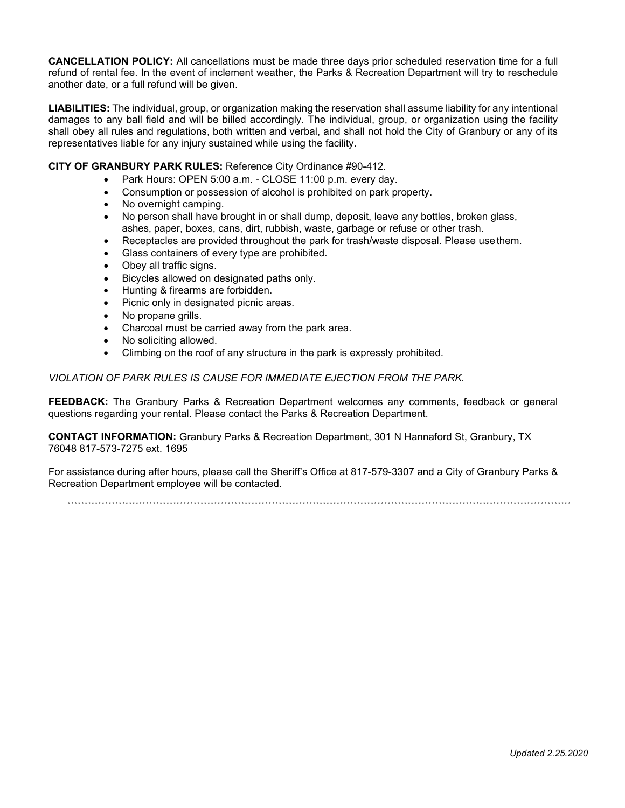**CANCELLATION POLICY:** All cancellations must be made three days prior scheduled reservation time for a full refund of rental fee. In the event of inclement weather, the Parks & Recreation Department will try to reschedule another date, or a full refund will be given.

**LIABILITIES:** The individual, group, or organization making the reservation shall assume liability for any intentional damages to any ball field and will be billed accordingly. The individual, group, or organization using the facility shall obey all rules and regulations, both written and verbal, and shall not hold the City of Granbury or any of its representatives liable for any injury sustained while using the facility.

### **CITY OF GRANBURY PARK RULES:** Reference City Ordinance #90-412.

- Park Hours: OPEN 5:00 a.m. CLOSE 11:00 p.m. every day.
- Consumption or possession of alcohol is prohibited on park property.
- No overnight camping.
- No person shall have brought in or shall dump, deposit, leave any bottles, broken glass, ashes, paper, boxes, cans, dirt, rubbish, waste, garbage or refuse or other trash.
- Receptacles are provided throughout the park for trash/waste disposal. Please usethem.
- Glass containers of every type are prohibited.
- Obey all traffic signs.
- Bicycles allowed on designated paths only.
- Hunting & firearms are forbidden.
- Picnic only in designated picnic areas.
- No propane grills.
- Charcoal must be carried away from the park area.
- No soliciting allowed.
- Climbing on the roof of any structure in the park is expressly prohibited.

*VIOLATION OF PARK RULES IS CAUSE FOR IMMEDIATE EJECTION FROM THE PARK.*

**FEEDBACK:** The Granbury Parks & Recreation Department welcomes any comments, feedback or general questions regarding your rental. Please contact the Parks & Recreation Department.

**CONTACT INFORMATION:** Granbury Parks & Recreation Department, 301 N Hannaford St, Granbury, TX 76048 817-573-7275 ext. 1695

For assistance during after hours, please call the Sheriff's Office at 817-579-3307 and a City of Granbury Parks & Recreation Department employee will be contacted.

\* \* \* \* \* \* \* \* \* \* \* \* \* \* \* \* \* \* \* \* \* \* \* \* \* \* \* \* \* \* \* \* \* \* \* \* \* \* \* \* \* \* \* \* \* \* \* \* \* \* \* \* \* \* \* \* \* \* \* \* \* \* \* \* \* \* \* \* \* \* \* \* \* \* \* \* \* \* \* \* \* \* \* \* \* \* \* \* \* \* \* \* \* \* \* \* \* \* \* \* \* \* \* \* \* \* \* \* \* \* \* \* \* \* \* \* \* \* \* \* \* \* \* \* \* \* \* \* \* \* \* \* \* \* \* \* \* \* \* \* \* \* \* \* \* \* \* \*